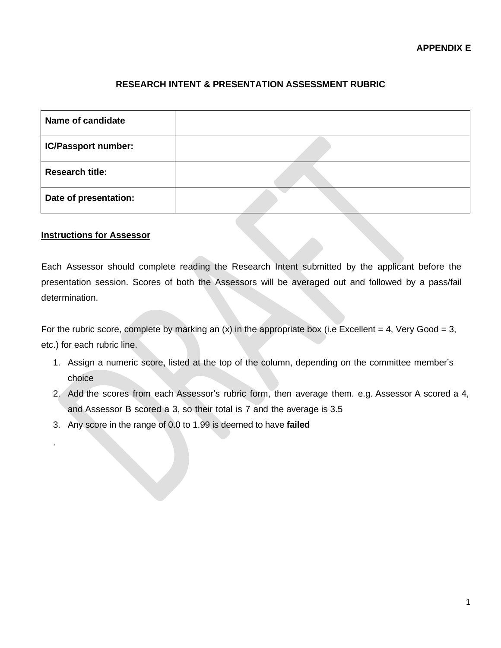## **RESEARCH INTENT & PRESENTATION ASSESSMENT RUBRIC**

| Name of candidate      |  |
|------------------------|--|
| IC/Passport number:    |  |
| <b>Research title:</b> |  |
| Date of presentation:  |  |

## **Instructions for Assessor**

.

Each Assessor should complete reading the Research Intent submitted by the applicant before the presentation session. Scores of both the Assessors will be averaged out and followed by a pass/fail determination.

For the rubric score, complete by marking an  $(x)$  in the appropriate box (i.e Excellent = 4, Very Good = 3, etc.) for each rubric line.

- 1. Assign a numeric score, listed at the top of the column, depending on the committee member's choice
- 2. Add the scores from each Assessor's rubric form, then average them. e.g. Assessor A scored a 4, and Assessor B scored a 3, so their total is 7 and the average is 3.5
- 3. Any score in the range of 0.0 to 1.99 is deemed to have **failed**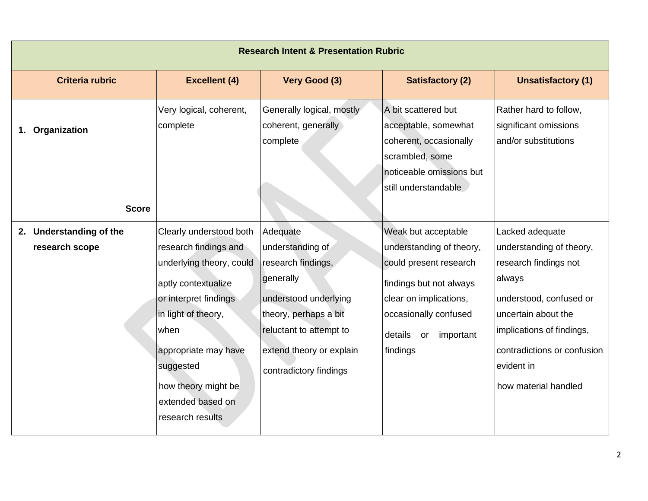| <b>Research Intent &amp; Presentation Rubric</b> |                                                                                                                                                                                                                                                                  |                                                                                                                                                                                                    |                                                                                                                                                                                                   |                                                                                                                                                                                                                                    |
|--------------------------------------------------|------------------------------------------------------------------------------------------------------------------------------------------------------------------------------------------------------------------------------------------------------------------|----------------------------------------------------------------------------------------------------------------------------------------------------------------------------------------------------|---------------------------------------------------------------------------------------------------------------------------------------------------------------------------------------------------|------------------------------------------------------------------------------------------------------------------------------------------------------------------------------------------------------------------------------------|
| <b>Criteria rubric</b>                           | <b>Excellent (4)</b>                                                                                                                                                                                                                                             | Very Good (3)                                                                                                                                                                                      | <b>Satisfactory (2)</b>                                                                                                                                                                           | <b>Unsatisfactory (1)</b>                                                                                                                                                                                                          |
| 1. Organization                                  | Very logical, coherent,<br>complete                                                                                                                                                                                                                              | Generally logical, mostly<br>coherent, generally<br>complete                                                                                                                                       | A bit scattered but<br>acceptable, somewhat<br>coherent, occasionally<br>scrambled, some<br>noticeable omissions but<br>still understandable                                                      | Rather hard to follow,<br>significant omissions<br>and/or substitutions                                                                                                                                                            |
| <b>Score</b>                                     |                                                                                                                                                                                                                                                                  |                                                                                                                                                                                                    |                                                                                                                                                                                                   |                                                                                                                                                                                                                                    |
| 2. Understanding of the<br>research scope        | Clearly understood both<br>research findings and<br>underlying theory, could<br>aptly contextualize<br>or interpret findings<br>in light of theory,<br>when<br>appropriate may have<br>suggested<br>how theory might be<br>extended based on<br>research results | Adequate<br>understanding of<br>research findings,<br>generally<br>understood underlying<br>theory, perhaps a bit<br>reluctant to attempt to<br>extend theory or explain<br>contradictory findings | Weak but acceptable<br>understanding of theory,<br>could present research<br>findings but not always<br>clear on implications,<br>occasionally confused<br>details<br>important<br>or<br>findings | Lacked adequate<br>understanding of theory,<br>research findings not<br>always<br>understood, confused or<br>uncertain about the<br>implications of findings,<br>contradictions or confusion<br>evident in<br>how material handled |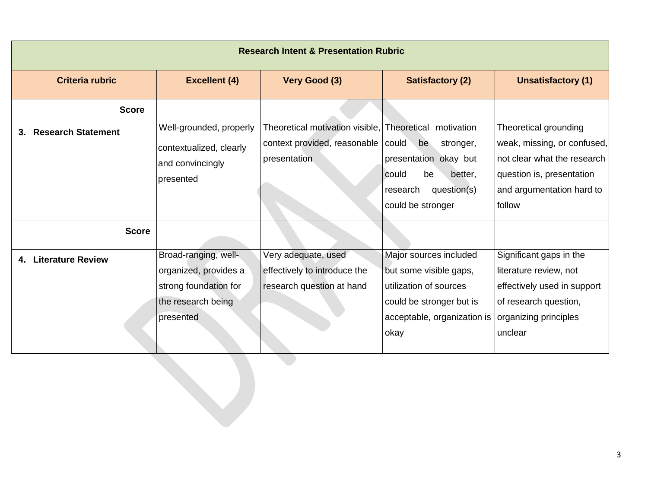| <b>Research Intent &amp; Presentation Rubric</b> |                                                                                                           |                                                                                  |                                                                                                                                                       |                                                                                                                                                         |
|--------------------------------------------------|-----------------------------------------------------------------------------------------------------------|----------------------------------------------------------------------------------|-------------------------------------------------------------------------------------------------------------------------------------------------------|---------------------------------------------------------------------------------------------------------------------------------------------------------|
| <b>Criteria rubric</b>                           | <b>Excellent (4)</b>                                                                                      | Very Good (3)                                                                    | <b>Satisfactory (2)</b>                                                                                                                               | <b>Unsatisfactory (1)</b>                                                                                                                               |
| <b>Score</b>                                     |                                                                                                           |                                                                                  |                                                                                                                                                       |                                                                                                                                                         |
| 3. Research Statement                            | Well-grounded, properly<br>contextualized, clearly<br>and convincingly<br>presented                       | Theoretical motivation visible,<br>context provided, reasonable<br>presentation  | Theoretical motivation<br>could<br>be<br>stronger,<br>presentation okay but<br>could<br>be<br>better,<br>research<br>question(s)<br>could be stronger | Theoretical grounding<br>weak, missing, or confused,<br>not clear what the research<br>question is, presentation<br>and argumentation hard to<br>follow |
| <b>Score</b>                                     |                                                                                                           |                                                                                  |                                                                                                                                                       |                                                                                                                                                         |
| 4. Literature Review                             | Broad-ranging, well-<br>organized, provides a<br>strong foundation for<br>the research being<br>presented | Very adequate, used<br>effectively to introduce the<br>research question at hand | Major sources included<br>but some visible gaps,<br>utilization of sources<br>could be stronger but is<br>acceptable, organization is<br>okay         | Significant gaps in the<br>literature review, not<br>effectively used in support<br>of research question,<br>organizing principles<br>unclear           |
|                                                  |                                                                                                           |                                                                                  |                                                                                                                                                       |                                                                                                                                                         |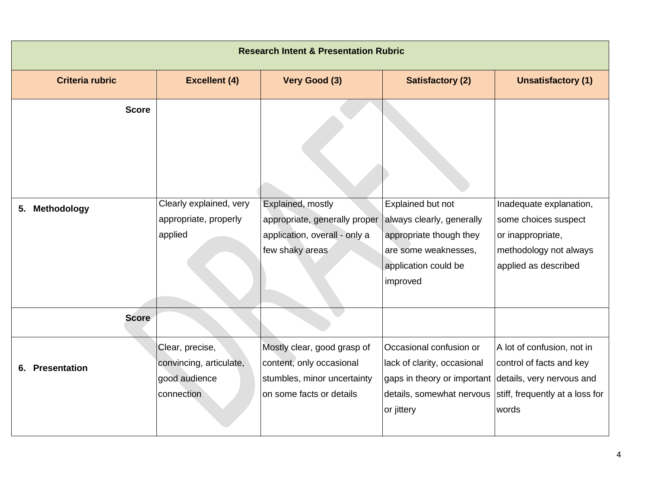|    | <b>Research Intent &amp; Presentation Rubric</b> |                                                                           |                                                                                                                    |                                                                                                                                       |                                                                                                                                 |
|----|--------------------------------------------------|---------------------------------------------------------------------------|--------------------------------------------------------------------------------------------------------------------|---------------------------------------------------------------------------------------------------------------------------------------|---------------------------------------------------------------------------------------------------------------------------------|
|    | <b>Criteria rubric</b>                           | <b>Excellent (4)</b>                                                      | Very Good (3)                                                                                                      | <b>Satisfactory (2)</b>                                                                                                               | <b>Unsatisfactory (1)</b>                                                                                                       |
|    | <b>Score</b>                                     |                                                                           |                                                                                                                    |                                                                                                                                       |                                                                                                                                 |
| 5. | <b>Methodology</b>                               | Clearly explained, very<br>appropriate, properly<br>applied               | Explained, mostly<br>appropriate, generally proper<br>application, overall - only a<br>few shaky areas             | Explained but not<br>always clearly, generally<br>appropriate though they<br>are some weaknesses,<br>application could be<br>improved | Inadequate explanation,<br>some choices suspect<br>or inappropriate,<br>methodology not always<br>applied as described          |
|    | <b>Score</b>                                     |                                                                           |                                                                                                                    |                                                                                                                                       |                                                                                                                                 |
|    | 6. Presentation                                  | Clear, precise,<br>convincing, articulate,<br>good audience<br>connection | Mostly clear, good grasp of<br>content, only occasional<br>stumbles, minor uncertainty<br>on some facts or details | Occasional confusion or<br>lack of clarity, occasional<br>gaps in theory or important<br>details, somewhat nervous<br>or jittery      | A lot of confusion, not in<br>control of facts and key<br>details, very nervous and<br>stiff, frequently at a loss for<br>words |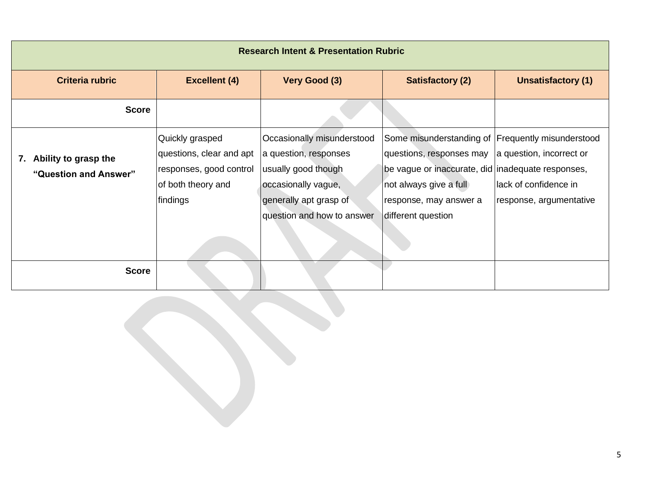| <b>Research Intent &amp; Presentation Rubric</b> |                                                                                                          |                                                                                                                                                           |                                                                                                                                                                                                              |                                                                               |  |
|--------------------------------------------------|----------------------------------------------------------------------------------------------------------|-----------------------------------------------------------------------------------------------------------------------------------------------------------|--------------------------------------------------------------------------------------------------------------------------------------------------------------------------------------------------------------|-------------------------------------------------------------------------------|--|
| <b>Criteria rubric</b>                           | <b>Excellent (4)</b>                                                                                     | Very Good (3)                                                                                                                                             | <b>Satisfactory (2)</b>                                                                                                                                                                                      | <b>Unsatisfactory (1)</b>                                                     |  |
| <b>Score</b>                                     |                                                                                                          |                                                                                                                                                           |                                                                                                                                                                                                              |                                                                               |  |
| 7. Ability to grasp the<br>"Question and Answer" | Quickly grasped<br>questions, clear and apt<br>responses, good control<br>of both theory and<br>findings | Occasionally misunderstood<br>a question, responses<br>usually good though<br>occasionally vague,<br>generally apt grasp of<br>question and how to answer | Some misunderstanding of Frequently misunderstood<br>questions, responses may<br>be vague or inaccurate, did inadequate responses,<br>not always give a full<br>response, may answer a<br>different question | a question, incorrect or<br>llack of confidence in<br>response, argumentative |  |
| <b>Score</b>                                     |                                                                                                          |                                                                                                                                                           |                                                                                                                                                                                                              |                                                                               |  |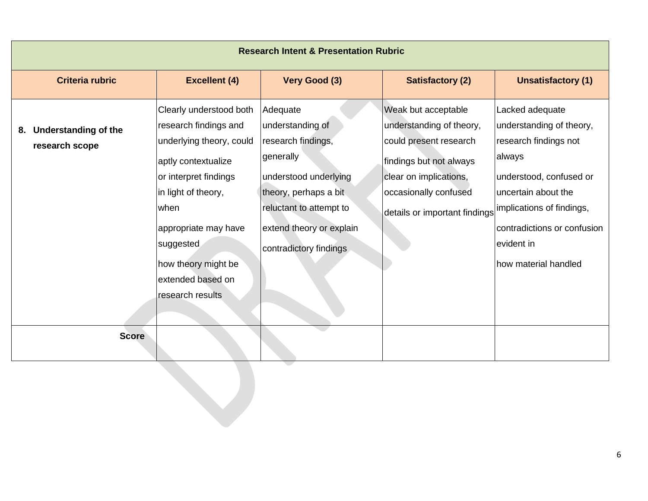| <b>Research Intent &amp; Presentation Rubric</b> |                                                                                                                                                                                                                                                                  |                                                                                                                                                                                                    |                                                                                                                                                                                          |                                                                                                                                                                                                                                    |  |
|--------------------------------------------------|------------------------------------------------------------------------------------------------------------------------------------------------------------------------------------------------------------------------------------------------------------------|----------------------------------------------------------------------------------------------------------------------------------------------------------------------------------------------------|------------------------------------------------------------------------------------------------------------------------------------------------------------------------------------------|------------------------------------------------------------------------------------------------------------------------------------------------------------------------------------------------------------------------------------|--|
| <b>Criteria rubric</b>                           | <b>Excellent (4)</b>                                                                                                                                                                                                                                             | Very Good (3)                                                                                                                                                                                      | <b>Satisfactory (2)</b>                                                                                                                                                                  | <b>Unsatisfactory (1)</b>                                                                                                                                                                                                          |  |
| 8. Understanding of the<br>research scope        | Clearly understood both<br>research findings and<br>underlying theory, could<br>aptly contextualize<br>or interpret findings<br>in light of theory,<br>when<br>appropriate may have<br>suggested<br>how theory might be<br>extended based on<br>research results | Adequate<br>understanding of<br>research findings,<br>generally<br>understood underlying<br>theory, perhaps a bit<br>reluctant to attempt to<br>extend theory or explain<br>contradictory findings | Weak but acceptable<br>understanding of theory,<br>could present research<br>findings but not always<br>clear on implications,<br>occasionally confused<br>details or important findings | Lacked adequate<br>understanding of theory,<br>research findings not<br>always<br>understood, confused or<br>uncertain about the<br>implications of findings,<br>contradictions or confusion<br>evident in<br>how material handled |  |
| <b>Score</b>                                     |                                                                                                                                                                                                                                                                  |                                                                                                                                                                                                    |                                                                                                                                                                                          |                                                                                                                                                                                                                                    |  |
|                                                  |                                                                                                                                                                                                                                                                  |                                                                                                                                                                                                    |                                                                                                                                                                                          |                                                                                                                                                                                                                                    |  |